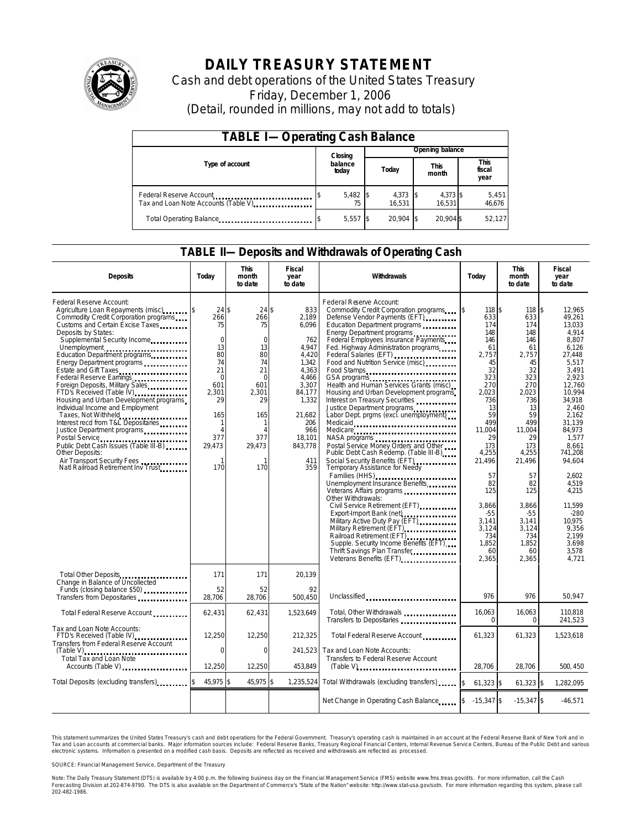

# **DAILY TREASURY STATEMENT**

Cash and debt operations of the United States Treasury Friday, December 1, 2006 (Detail, rounded in millions, may not add to totals)

| <b>TABLE I-Operating Cash Balance</b>                            |  |                  |  |                 |  |                      |  |                               |
|------------------------------------------------------------------|--|------------------|--|-----------------|--|----------------------|--|-------------------------------|
|                                                                  |  | Closing          |  | Opening balance |  |                      |  |                               |
| Type of account                                                  |  | balance<br>today |  | Today           |  | <b>This</b><br>month |  | <b>This</b><br>fiscal<br>year |
| Federal Reserve Account<br>Tax and Loan Note Accounts (Table V). |  | $5,482$ \$       |  | 4,373<br>16.531 |  | 4,373 \$<br>16.531   |  | 5,451<br>46,676               |
| Total Operating Balance                                          |  | $5,557$ \$       |  | 20.904          |  | 20.904 \$            |  | 52.127                        |

### **TABLE II—Deposits and Withdrawals of Operating Cash**

| <b>Deposits</b>                                                                                                                                                                                                                                                                                                                                                                                                                                                                                                                                                                                                                                                                                                                                       | Today                                                                                                                                     | <b>This</b><br>month<br>to date                                                                                                       | Fiscal<br>year<br>to date                                                                                                                                        | Withdrawals                                                                                                                                                                                                                                                                                                                                                                                                                                                                                                                                                                                                                                                                                                                                                                                                                                                                                                                                                                                                                                          | Today                                                                                                                                                                                                                                                | <b>This</b><br>month<br>to date                                                                                                                                                                                                             | <b>Fiscal</b><br>year<br>to date                                                                                                                                                                                                                                                                                                       |
|-------------------------------------------------------------------------------------------------------------------------------------------------------------------------------------------------------------------------------------------------------------------------------------------------------------------------------------------------------------------------------------------------------------------------------------------------------------------------------------------------------------------------------------------------------------------------------------------------------------------------------------------------------------------------------------------------------------------------------------------------------|-------------------------------------------------------------------------------------------------------------------------------------------|---------------------------------------------------------------------------------------------------------------------------------------|------------------------------------------------------------------------------------------------------------------------------------------------------------------|------------------------------------------------------------------------------------------------------------------------------------------------------------------------------------------------------------------------------------------------------------------------------------------------------------------------------------------------------------------------------------------------------------------------------------------------------------------------------------------------------------------------------------------------------------------------------------------------------------------------------------------------------------------------------------------------------------------------------------------------------------------------------------------------------------------------------------------------------------------------------------------------------------------------------------------------------------------------------------------------------------------------------------------------------|------------------------------------------------------------------------------------------------------------------------------------------------------------------------------------------------------------------------------------------------------|---------------------------------------------------------------------------------------------------------------------------------------------------------------------------------------------------------------------------------------------|----------------------------------------------------------------------------------------------------------------------------------------------------------------------------------------------------------------------------------------------------------------------------------------------------------------------------------------|
| Federal Reserve Account:<br>Agriculture Loan Repayments (misc)<br>Commodity Credit Corporation programs<br>Customs and Certain Excise Taxes<br>Deposits by States:<br>Supplemental Security Income<br>Unemployment<br>Education Department programs<br>Energy Department programs<br>Estate and Gift Taxes<br>Federal Reserve Earnings<br>Foreign Deposits, Military Sales<br>FTD's Received (Table IV) <b>FTD</b> 's Received (Table IV)<br>Housing and Urban Development programs<br>Individual Income and Employment<br>Taxes, Not Withheld<br>Interest recd from T&L Depositaries<br>Justice Department programs<br>Public Debt Cash Issues (Table III-B)<br>Other Deposits:<br>Air Transport Security Fees<br>Natl Railroad Retirement Inv Trust | $24$ \$<br>266<br>75<br>$\mathbf 0$<br>13<br>80<br>74<br>21<br>$\mathbf 0$<br>601<br>2,301<br>29<br>165<br>1<br>Δ<br>377<br>29,473<br>170 | $24$ \$<br>266<br>75<br>0<br>13<br>80<br>74<br>21<br>$\Omega$<br>601<br>2,301<br>29<br>165<br>-1<br>$\Lambda$<br>377<br>29,473<br>170 | 833<br>2,189<br>6,096<br>762<br>4,947<br>4,420<br>1,342<br>4.363<br>4.466<br>3,307<br>84,177<br>1,332<br>21,682<br>206<br>966<br>18.101<br>843.778<br>411<br>359 | Federal Reserve Account:<br>Commodity Credit Corporation programs<br>Defense Vendor Payments (EFT)<br>Education Department programs<br>Energy Department programs<br>Federal Employees Insurance Payments<br>Fed. Highway Administration programs<br>Federal Salaries (EFT)<br>Food and Nutrition Service (misc)<br>Food Stamps<br>Health and Human Services Grants (misc)<br>Housing and Urban Development programs<br>Interest on Treasury Securities<br>Justice Department programs<br>Labor Dept. prgms (excl. unemployment)<br>NASA programs<br>Postal Service Money Orders and Other<br>Public Debt Cash Redemp. (Table III-B)<br>Social Security Benefits (EFT)<br>Temporary Assistance for Needy<br>Families (HHS)<br>Unemployment Insurance Benefits<br>Veterans Affairs programs<br>Other Withdrawals:<br>Civil Service Retirement (EFT)<br>Export-Import Bank (net)<br>Military Active Duty Pay (EFT)<br>Military Retirement (EFT)<br>Railroad Retirement (EFT)<br>Supple. Security Income Benefits (EFT)<br>Thrift Savings Plan Transfer | 118 \$<br>ß.<br>633<br>174<br>148<br>146<br>61<br>2,757<br>45<br>32<br>323<br>270<br>2,023<br>736<br>13<br>59<br>499<br>11.004<br>29<br>173<br>4,255<br>21,496<br>57<br>82<br>125<br>3.866<br>$-55$<br>3,141<br>3,124<br>734<br>1,852<br>60<br>2,365 | 118<br>633<br>174<br>148<br>146<br>61<br>2,757<br>45<br>32<br>323<br>270<br>2,023<br>736<br>13<br>59<br>499<br>11.004<br>29<br>173<br>4,255<br>21,496<br>57<br>82<br>125<br>3,866<br>$-55$<br>3,141<br>3,124<br>734<br>1,852<br>60<br>2,365 | $\overline{\mathbf{3}}$<br>12,965<br>49,261<br>13,033<br>4.914<br>8,807<br>6.126<br>27,448<br>5,517<br>3.491<br>2.923<br>12,760<br>10,994<br>34,918<br>2.460<br>2.162<br>31.139<br>84.973<br>1.577<br>8.661<br>741,208<br>94.604<br>2.602<br>4,519<br>4.215<br>11.599<br>$-280$<br>10.975<br>9,356<br>2.199<br>3.698<br>3.578<br>4.721 |
| Total Other Deposits<br>Change in Balance of Uncollected                                                                                                                                                                                                                                                                                                                                                                                                                                                                                                                                                                                                                                                                                              | 171                                                                                                                                       | 171                                                                                                                                   | 20.139                                                                                                                                                           |                                                                                                                                                                                                                                                                                                                                                                                                                                                                                                                                                                                                                                                                                                                                                                                                                                                                                                                                                                                                                                                      |                                                                                                                                                                                                                                                      |                                                                                                                                                                                                                                             |                                                                                                                                                                                                                                                                                                                                        |
| Funds (closing balance \$50)<br>Transfers from Depositaries                                                                                                                                                                                                                                                                                                                                                                                                                                                                                                                                                                                                                                                                                           | 52<br>28,706                                                                                                                              | 52<br>28,706                                                                                                                          | 92<br>500.450                                                                                                                                                    | Unclassified                                                                                                                                                                                                                                                                                                                                                                                                                                                                                                                                                                                                                                                                                                                                                                                                                                                                                                                                                                                                                                         | 976                                                                                                                                                                                                                                                  | 976                                                                                                                                                                                                                                         | 50,947                                                                                                                                                                                                                                                                                                                                 |
| Total Federal Reserve Account                                                                                                                                                                                                                                                                                                                                                                                                                                                                                                                                                                                                                                                                                                                         | 62,431                                                                                                                                    | 62,431                                                                                                                                | 1,523,649                                                                                                                                                        | Total, Other Withdrawals<br>Transfers to Depositaries                                                                                                                                                                                                                                                                                                                                                                                                                                                                                                                                                                                                                                                                                                                                                                                                                                                                                                                                                                                                | 16,063<br>$\Omega$                                                                                                                                                                                                                                   | 16,063<br>$\mathbf 0$                                                                                                                                                                                                                       | 110.818<br>241,523                                                                                                                                                                                                                                                                                                                     |
| Tax and Loan Note Accounts:<br>FTD's Received (Table IV)<br><br>Transfers from Federal Reserve Account                                                                                                                                                                                                                                                                                                                                                                                                                                                                                                                                                                                                                                                | 12,250                                                                                                                                    | 12,250                                                                                                                                | 212,325                                                                                                                                                          | Total Federal Reserve Account                                                                                                                                                                                                                                                                                                                                                                                                                                                                                                                                                                                                                                                                                                                                                                                                                                                                                                                                                                                                                        | 61,323                                                                                                                                                                                                                                               | 61,323                                                                                                                                                                                                                                      | 1,523,618                                                                                                                                                                                                                                                                                                                              |
| <b>Total Tax and Loan Note</b><br>Accounts (Table V)                                                                                                                                                                                                                                                                                                                                                                                                                                                                                                                                                                                                                                                                                                  | $\Omega$<br>12,250                                                                                                                        | $\mathbf 0$<br>12,250                                                                                                                 | 241,523<br>453.849                                                                                                                                               | Tax and Loan Note Accounts:<br>Transfers to Federal Reserve Account<br>$(Table V)$                                                                                                                                                                                                                                                                                                                                                                                                                                                                                                                                                                                                                                                                                                                                                                                                                                                                                                                                                                   | 28.706                                                                                                                                                                                                                                               | 28.706                                                                                                                                                                                                                                      | 500, 450                                                                                                                                                                                                                                                                                                                               |
| Total Deposits (excluding transfers)                                                                                                                                                                                                                                                                                                                                                                                                                                                                                                                                                                                                                                                                                                                  | 45,975 \$                                                                                                                                 | 45,975 \$                                                                                                                             | 1,235,524                                                                                                                                                        | Total Withdrawals (excluding transfers)                                                                                                                                                                                                                                                                                                                                                                                                                                                                                                                                                                                                                                                                                                                                                                                                                                                                                                                                                                                                              | \$<br>$61,323$ \$                                                                                                                                                                                                                                    | $61,323$ \$                                                                                                                                                                                                                                 | 1,282,095                                                                                                                                                                                                                                                                                                                              |
|                                                                                                                                                                                                                                                                                                                                                                                                                                                                                                                                                                                                                                                                                                                                                       |                                                                                                                                           |                                                                                                                                       |                                                                                                                                                                  | Net Change in Operating Cash Balance                                                                                                                                                                                                                                                                                                                                                                                                                                                                                                                                                                                                                                                                                                                                                                                                                                                                                                                                                                                                                 | $-15,347$ \$                                                                                                                                                                                                                                         | $-15,347$ \$                                                                                                                                                                                                                                | $-46.571$                                                                                                                                                                                                                                                                                                                              |

This statement summarizes the United States Treasury's cash and debt operations for the Federal Government. Treasury's operating cash is maintained in an account at the Federal Reserve Bank of New York and in Tax and Loan accounts at commercial banks. Major information sources include: Federal Reserve Banks, Treasury Regional Financial Centers, Internal Revenue Service Centers, Bureau of the Public Debt and various<br>electronic s

SOURCE: Financial Management Service, Department of the Treasury

Note: The Daily Treasury Statement (DTS) is available by 4:00 p.m. the following business day on the Financial Management Service (FMS) website www.fms.treas.gov/dts. For more information, call the Cash<br>Forecasting Divisio 'S) is available by 4:00 p.m. the following business day on the Financial Management Service (FMS) website www.fms.treas.gov/dts. For more information, call the Cash<br>The DTS is also available on the Department of Commerce'